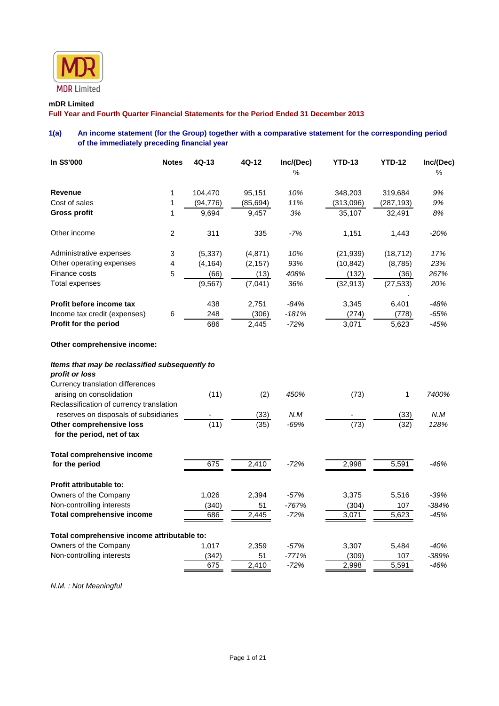

# **mDR Limited**

**Full Year and Fourth Quarter Financial Statements for the Period Ended 31 December 2013** 

# **1(a) An income statement (for the Group) together with a comparative statement for the corresponding period of the immediately preceding financial year**

| In S\$'000                                                       | <b>Notes</b> | $4Q-13$   | 4Q-12     | Inc/(Dec)<br>% | <b>YTD-13</b> | <b>YTD-12</b> | Inc/(Dec)<br>% |
|------------------------------------------------------------------|--------------|-----------|-----------|----------------|---------------|---------------|----------------|
| <b>Revenue</b>                                                   | 1            | 104,470   | 95,151    | 10%            | 348,203       | 319,684       | 9%             |
| Cost of sales                                                    | 1            | (94, 776) | (85, 694) | 11%            | (313,096)     | (287, 193)    | 9%             |
| <b>Gross profit</b>                                              | 1            | 9,694     | 9,457     | 3%             | 35,107        | 32,491        | 8%             |
| Other income                                                     | 2            | 311       | 335       | $-7%$          | 1,151         | 1,443         | $-20%$         |
| Administrative expenses                                          | 3            | (5, 337)  | (4, 871)  | 10%            | (21, 939)     | (18, 712)     | 17%            |
| Other operating expenses                                         | 4            | (4, 164)  | (2, 157)  | 93%            | (10, 842)     | (8,785)       | 23%            |
| Finance costs                                                    | 5            | (66)      | (13)      | 408%           | (132)         | (36)          | 267%           |
| <b>Total expenses</b>                                            |              | (9, 567)  | (7,041)   | 36%            | (32, 913)     | (27, 533)     | 20%            |
| Profit before income tax                                         |              | 438       | 2,751     | $-84%$         | 3,345         | 6,401         | $-48%$         |
| Income tax credit (expenses)                                     | 6            | 248       | (306)     | $-181%$        | (274)         | (778)         | $-65%$         |
| Profit for the period                                            |              | 686       | 2,445     | $-72%$         | 3,071         | 5,623         | $-45%$         |
| Other comprehensive income:                                      |              |           |           |                |               |               |                |
| Items that may be reclassified subsequently to<br>profit or loss |              |           |           |                |               |               |                |
| Currency translation differences                                 |              |           |           |                |               |               |                |
| arising on consolidation                                         |              | (11)      | (2)       | 450%           | (73)          | 1             | 7400%          |
| Reclassification of currency translation                         |              |           |           |                |               |               |                |
| reserves on disposals of subsidiaries                            |              |           | (33)      | N.M            |               | (33)          | N.M            |
| Other comprehensive loss                                         |              | (11)      | (35)      | $-69%$         | (73)          | (32)          | 128%           |
| for the period, net of tax                                       |              |           |           |                |               |               |                |
| <b>Total comprehensive income</b>                                |              |           |           |                |               |               |                |
| for the period                                                   |              | 675       | 2,410     | $-72%$         | 2,998         | 5,591         | $-46%$         |
| Profit attributable to:                                          |              |           |           |                |               |               |                |
| Owners of the Company                                            |              | 1,026     | 2,394     | $-57%$         | 3,375         | 5,516         | $-39%$         |
| Non-controlling interests                                        |              | (340)     | 51        | $-767%$        | (304)         | 107           | $-384%$        |
| <b>Total comprehensive income</b>                                |              | 686       | 2,445     | $-72%$         | 3,071         | 5,623         | $-45%$         |

|                                             | ----- |         |       | - - - - - |         |
|---------------------------------------------|-------|---------|-------|-----------|---------|
| Total comprehensive income attributable to: |       |         |       |           |         |
| 1.017                                       | 2.359 | $-57%$  | 3.307 | 5.484     | -40%    |
| (342)                                       | 51    | $-771%$ | (309) | 107       | $-389%$ |
| 675                                         | 2.410 | $-72%$  | 2.998 | 5.591     | -46%    |
|                                             |       |         |       |           |         |

*N.M. : Not Meaningful*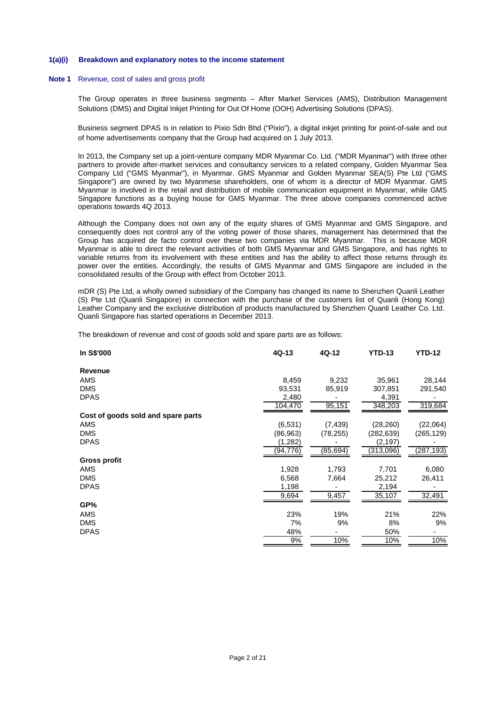#### **1(a)(i) Breakdown and explanatory notes to the income statement**

#### **Note 1** Revenue, cost of sales and gross profit

The Group operates in three business segments – After Market Services (AMS), Distribution Management Solutions (DMS) and Digital Inkjet Printing for Out Of Home (OOH) Advertising Solutions (DPAS).

Business segment DPAS is in relation to Pixio Sdn Bhd ("Pixio"), a digital inkjet printing for point-of-sale and out of home advertisements company that the Group had acquired on 1 July 2013.

In 2013, the Company set up a joint-venture company MDR Myanmar Co. Ltd. ("MDR Myanmar") with three other partners to provide after-market services and consultancy services to a related company, Golden Myanmar Sea Company Ltd ("GMS Myanmar"), in Myanmar. GMS Myanmar and Golden Myanmar SEA(S) Pte Ltd ("GMS Singapore") are owned by two Myanmese shareholders, one of whom is a director of MDR Myanmar. GMS Myanmar is involved in the retail and distribution of mobile communication equipment in Myanmar, while GMS Singapore functions as a buying house for GMS Myanmar. The three above companies commenced active operations towards 4Q 2013.

 Although the Company does not own any of the equity shares of GMS Myanmar and GMS Singapore, and consequently does not control any of the voting power of those shares, management has determined that the Group has acquired de facto control over these two companies via MDR Myanmar. This is because MDR Myanmar is able to direct the relevant activities of both GMS Myanmar and GMS Singapore, and has rights to variable returns from its involvement with these entities and has the ability to affect those returns through its power over the entities. Accordingly, the results of GMS Myanmar and GMS Singapore are included in the consolidated results of the Group with effect from October 2013.

mDR (S) Pte Ltd, a wholly owned subsidiary of the Company has changed its name to Shenzhen Quanli Leather (S) Pte Ltd (Quanli Singapore) in connection with the purchase of the customers list of Quanli (Hong Kong) Leather Company and the exclusive distribution of products manufactured by Shenzhen Quanli Leather Co. Ltd. Quanli Singapore has started operations in December 2013.

The breakdown of revenue and cost of goods sold and spare parts are as follows:

| In S\$'000                         | $4Q-13$   | 4Q-12     | <b>YTD-13</b> | <b>YTD-12</b> |
|------------------------------------|-----------|-----------|---------------|---------------|
| Revenue                            |           |           |               |               |
| <b>AMS</b>                         | 8,459     | 9,232     | 35,961        | 28,144        |
| <b>DMS</b>                         | 93,531    | 85,919    | 307,851       | 291,540       |
| <b>DPAS</b>                        | 2,480     |           | 4,391         |               |
|                                    | 104,470   | 95,151    | 348,203       | 319,684       |
| Cost of goods sold and spare parts |           |           |               |               |
| AMS                                | (6,531)   | (7, 439)  | (28, 260)     | (22,064)      |
| <b>DMS</b>                         | (86, 963) | (78, 255) | (282,639)     | (265, 129)    |
| <b>DPAS</b>                        | (1,282)   |           | (2,197)       |               |
|                                    | (94,776)  | (85,694)  | (313,096)     | (287,193)     |
| <b>Gross profit</b>                |           |           |               |               |
| AMS                                | 1,928     | 1,793     | 7,701         | 6,080         |
| <b>DMS</b>                         | 6,568     | 7,664     | 25,212        | 26,411        |
| <b>DPAS</b>                        | 1,198     |           | 2,194         |               |
|                                    | 9,694     | 9,457     | 35,107        | 32,491        |
| GP%                                |           |           |               |               |
| <b>AMS</b>                         | 23%       | 19%       | 21%           | 22%           |
| <b>DMS</b>                         | 7%        | 9%        | 8%            | 9%            |
| <b>DPAS</b>                        | 48%       |           | 50%           |               |
|                                    | 9%        | 10%       | 10%           | 10%           |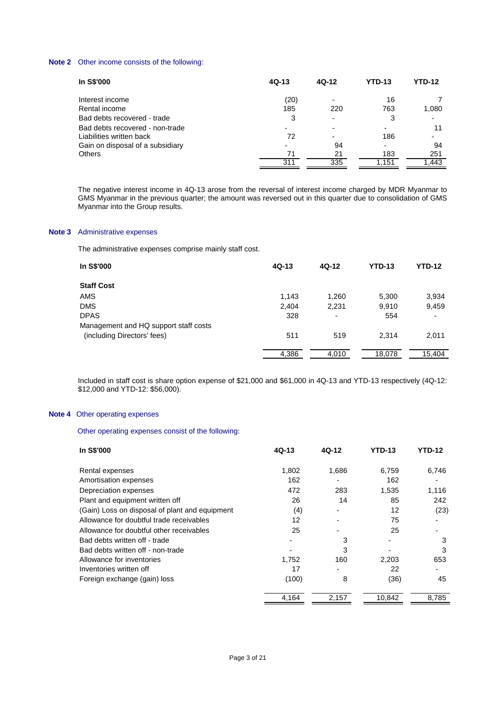# **Note 2** Other income consists of the following:

| In S\$'000                       | $4Q-13$ | 4Q-12                    | <b>YTD-13</b> | <b>YTD-12</b> |
|----------------------------------|---------|--------------------------|---------------|---------------|
| Interest income                  | (20)    | $\overline{\phantom{0}}$ | 16            |               |
| Rental income                    | 185     | 220                      | 763           | 1,080         |
| Bad debts recovered - trade      | 3       |                          | 3             |               |
| Bad debts recovered - non-trade  |         |                          |               | 11            |
| Liabilities written back         | 72      | -                        | 186           |               |
| Gain on disposal of a subsidiary |         | 94                       | -             | 94            |
| <b>Others</b>                    | 71      | 21                       | 183           | 251           |
|                                  | 311     | 335                      | 1,151         | .443          |

The negative interest income in 4Q-13 arose from the reversal of interest income charged by MDR Myanmar to GMS Myanmar in the previous quarter; the amount was reversed out in this quarter due to consolidation of GMS Myanmar into the Group results.

# **Note 3** Administrative expenses

The administrative expenses comprise mainly staff cost.

| In S\$'000                            | 4Q-13 | 4Q-12 | <b>YTD-13</b> | YTD-12 |
|---------------------------------------|-------|-------|---------------|--------|
| <b>Staff Cost</b>                     |       |       |               |        |
| AMS                                   | 1,143 | 1,260 | 5,300         | 3,934  |
| <b>DMS</b>                            | 2,404 | 2,231 | 9,910         | 9,459  |
| <b>DPAS</b>                           | 328   |       | 554           |        |
| Management and HQ support staff costs |       |       |               |        |
| (including Directors' fees)           | 511   | 519   | 2.314         | 2,011  |
|                                       | 4,386 | 4,010 | 18,078        | 15.404 |

Included in staff cost is share option expense of \$21,000 and \$61,000 in 4Q-13 and YTD-13 respectively (4Q-12: \$12,000 and YTD-12: \$56,000).

#### **Note 4** Other operating expenses

# Other operating expenses consist of the following:

| In S\$'000                                     | $4Q-13$ | 4Q-12 | <b>YTD-13</b> | <b>YTD-12</b> |
|------------------------------------------------|---------|-------|---------------|---------------|
| Rental expenses                                | 1,802   | 1,686 | 6.759         | 6,746         |
| Amortisation expenses                          | 162     |       | 162           |               |
| Depreciation expenses                          | 472     | 283   | 1,535         | 1,116         |
| Plant and equipment written off                | 26      | 14    | 85            | 242           |
| (Gain) Loss on disposal of plant and equipment | (4)     | ٠     | 12            | (23)          |
| Allowance for doubtful trade receivables       | 12      |       | 75            |               |
| Allowance for doubtful other receivables       | 25      | ۰     | 25            |               |
| Bad debts written off - trade                  |         | 3     |               | 3             |
| Bad debts written off - non-trade              |         | 3     |               | 3             |
| Allowance for inventories                      | 1,752   | 160   | 2,203         | 653           |
| Inventories written off                        | 17      |       | 22            | ٠             |
| Foreign exchange (gain) loss                   | (100)   | 8     | (36)          | 45            |
|                                                | 4,164   | 2,157 | 10,842        | 8,785         |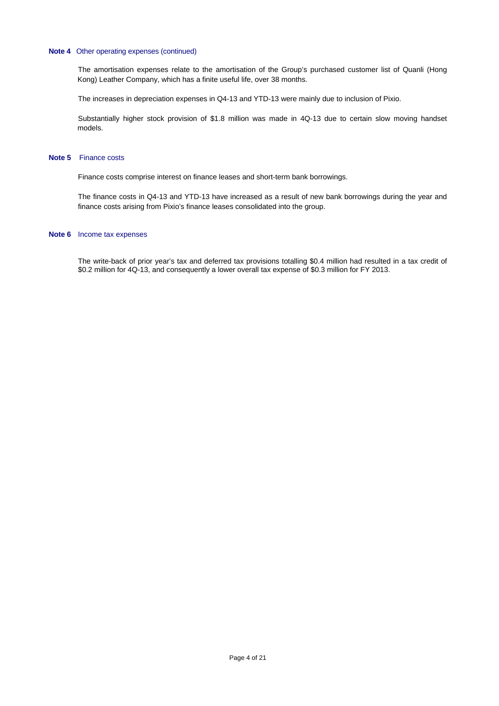### **Note 4** Other operating expenses (continued)

The amortisation expenses relate to the amortisation of the Group's purchased customer list of Quanli (Hong Kong) Leather Company, which has a finite useful life, over 38 months.

The increases in depreciation expenses in Q4-13 and YTD-13 were mainly due to inclusion of Pixio.

Substantially higher stock provision of \$1.8 million was made in 4Q-13 due to certain slow moving handset models.

#### **Note 5** Finance costs

Finance costs comprise interest on finance leases and short-term bank borrowings.

The finance costs in Q4-13 and YTD-13 have increased as a result of new bank borrowings during the year and finance costs arising from Pixio's finance leases consolidated into the group.

# **Note 6** Income tax expenses

 The write-back of prior year's tax and deferred tax provisions totalling \$0.4 million had resulted in a tax credit of \$0.2 million for 4Q-13, and consequently a lower overall tax expense of \$0.3 million for FY 2013.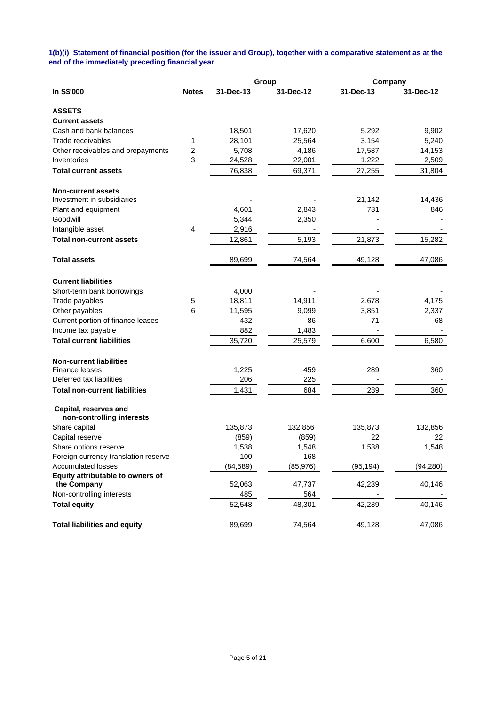### **1(b)(i) Statement of financial position (for the issuer and Group), together with a comparative statement as at the end of the immediately preceding financial year**

|                                                    |                |           | Group     |           | Company   |  |
|----------------------------------------------------|----------------|-----------|-----------|-----------|-----------|--|
| In S\$'000                                         | <b>Notes</b>   | 31-Dec-13 | 31-Dec-12 | 31-Dec-13 | 31-Dec-12 |  |
| <b>ASSETS</b>                                      |                |           |           |           |           |  |
| <b>Current assets</b>                              |                |           |           |           |           |  |
| Cash and bank balances                             |                | 18,501    | 17,620    | 5,292     | 9,902     |  |
| Trade receivables                                  | 1              | 28,101    | 25,564    | 3,154     | 5,240     |  |
| Other receivables and prepayments                  | $\overline{c}$ | 5,708     | 4,186     | 17,587    | 14,153    |  |
| Inventories                                        | 3              | 24,528    | 22,001    | 1,222     | 2,509     |  |
| <b>Total current assets</b>                        |                | 76,838    | 69,371    | 27,255    | 31,804    |  |
| <b>Non-current assets</b>                          |                |           |           |           |           |  |
| Investment in subsidiaries                         |                |           |           | 21,142    | 14,436    |  |
| Plant and equipment                                |                | 4,601     | 2,843     | 731       | 846       |  |
| Goodwill                                           |                | 5,344     | 2,350     |           |           |  |
| Intangible asset                                   | 4              | 2,916     |           |           |           |  |
| <b>Total non-current assets</b>                    |                | 12,861    | 5,193     | 21,873    | 15,282    |  |
| <b>Total assets</b>                                |                | 89,699    | 74,564    | 49,128    | 47,086    |  |
| <b>Current liabilities</b>                         |                |           |           |           |           |  |
| Short-term bank borrowings                         |                | 4,000     |           |           |           |  |
| Trade payables                                     | 5              | 18,811    | 14,911    | 2,678     | 4,175     |  |
| Other payables                                     | 6              | 11,595    | 9,099     | 3,851     | 2,337     |  |
| Current portion of finance leases                  |                | 432       | 86        | 71        | 68        |  |
| Income tax payable                                 |                | 882       | 1,483     |           |           |  |
| <b>Total current liabilities</b>                   |                | 35,720    | 25,579    | 6,600     | 6,580     |  |
| <b>Non-current liabilities</b>                     |                |           |           |           |           |  |
| <b>Finance leases</b>                              |                | 1,225     | 459       | 289       | 360       |  |
| Deferred tax liabilities                           |                | 206       | 225       |           |           |  |
| <b>Total non-current liabilities</b>               |                | 1,431     | 684       | 289       | 360       |  |
| Capital, reserves and<br>non-controlling interests |                |           |           |           |           |  |
| Share capital                                      |                | 135,873   | 132,856   | 135,873   | 132,856   |  |
| Capital reserve                                    |                | (859)     | (859)     | 22        | 22        |  |
| Share options reserve                              |                | 1,538     | 1,548     | 1,538     | 1,548     |  |
| Foreign currency translation reserve               |                | 100       | 168       |           |           |  |
| <b>Accumulated losses</b>                          |                | (84, 589) | (85, 976) | (95, 194) | (94, 280) |  |
| Equity attributable to owners of                   |                |           |           |           |           |  |
| the Company                                        |                | 52,063    | 47,737    | 42,239    | 40,146    |  |
| Non-controlling interests                          |                | 485       | 564       |           |           |  |
| <b>Total equity</b>                                |                | 52,548    | 48,301    | 42,239    | 40,146    |  |
| <b>Total liabilities and equity</b>                |                | 89,699    | 74,564    | 49,128    | 47,086    |  |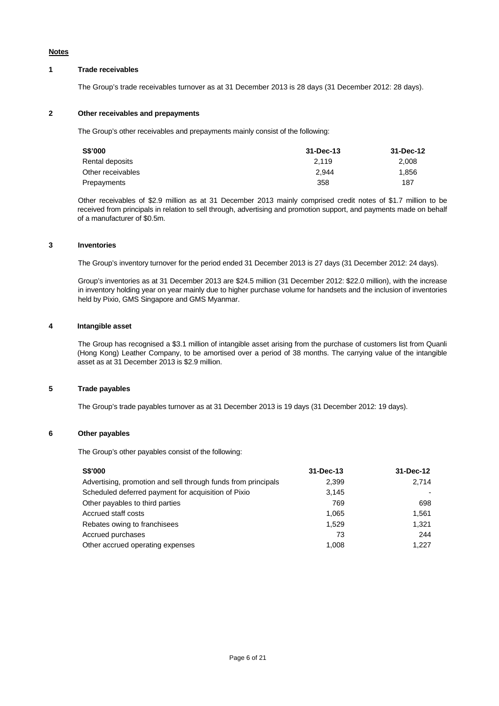# **Notes**

# **1 Trade receivables**

The Group's trade receivables turnover as at 31 December 2013 is 28 days (31 December 2012: 28 days).

### **2 Other receivables and prepayments**

The Group's other receivables and prepayments mainly consist of the following:

| S\$'000           | 31-Dec-13 | 31-Dec-12 |
|-------------------|-----------|-----------|
| Rental deposits   | 2.119     | 2.008     |
| Other receivables | 2.944     | 1.856     |
| Prepayments       | 358       | 187       |

 Other receivables of \$2.9 million as at 31 December 2013 mainly comprised credit notes of \$1.7 million to be received from principals in relation to sell through, advertising and promotion support, and payments made on behalf of a manufacturer of \$0.5m.

### **3 Inventories**

The Group's inventory turnover for the period ended 31 December 2013 is 27 days (31 December 2012: 24 days).

 Group's inventories as at 31 December 2013 are \$24.5 million (31 December 2012: \$22.0 million), with the increase in inventory holding year on year mainly due to higher purchase volume for handsets and the inclusion of inventories held by Pixio, GMS Singapore and GMS Myanmar.

### **4 Intangible asset**

 The Group has recognised a \$3.1 million of intangible asset arising from the purchase of customers list from Quanli (Hong Kong) Leather Company, to be amortised over a period of 38 months. The carrying value of the intangible asset as at 31 December 2013 is \$2.9 million.

### **5 Trade payables**

The Group's trade payables turnover as at 31 December 2013 is 19 days (31 December 2012: 19 days).

### **6 Other payables**

The Group's other payables consist of the following:

| <b>S\$'000</b>                                                | 31-Dec-13 | 31-Dec-12 |
|---------------------------------------------------------------|-----------|-----------|
| Advertising, promotion and sell through funds from principals | 2,399     | 2.714     |
| Scheduled deferred payment for acquisition of Pixio           | 3.145     |           |
| Other payables to third parties                               | 769       | 698       |
| Accrued staff costs                                           | 1.065     | 1.561     |
| Rebates owing to franchisees                                  | 1.529     | 1.321     |
| Accrued purchases                                             | 73        | 244       |
| Other accrued operating expenses                              | 1.008     | 1.227     |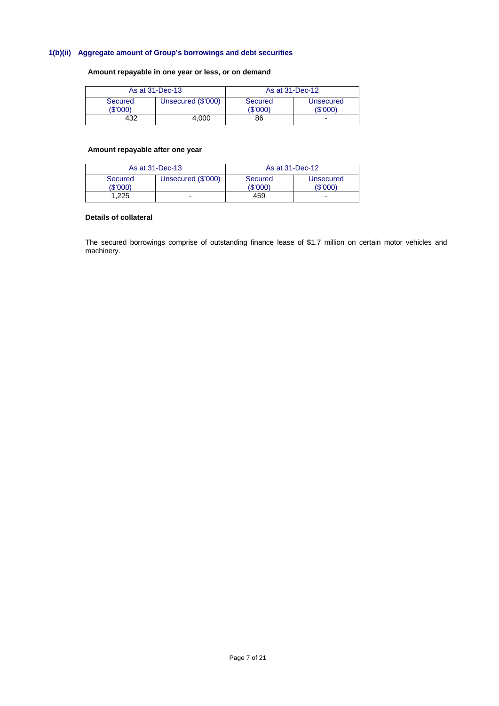# **1(b)(ii) Aggregate amount of Group's borrowings and debt securities**

**Amount repayable in one year or less, or on demand** 

| As at 31-Dec-13     |                    | As at 31-Dec-12     |                       |  |
|---------------------|--------------------|---------------------|-----------------------|--|
| Secured<br>(\$'000) | Unsecured (\$'000) | Secured<br>(\$'000) | Unsecured<br>(\$'000) |  |
| 432                 | 4.000              | 86                  | -                     |  |

# **Amount repayable after one year**

| As at 31-Dec-13     |                    | As at 31-Dec-12    |                       |
|---------------------|--------------------|--------------------|-----------------------|
| Secured<br>(\$'000) | Unsecured (\$'000) | Secured<br>(S'000) | Unsecured<br>(\$'000) |
| 1.225               |                    | 459                |                       |

# **Details of collateral**

The secured borrowings comprise of outstanding finance lease of \$1.7 million on certain motor vehicles and machinery.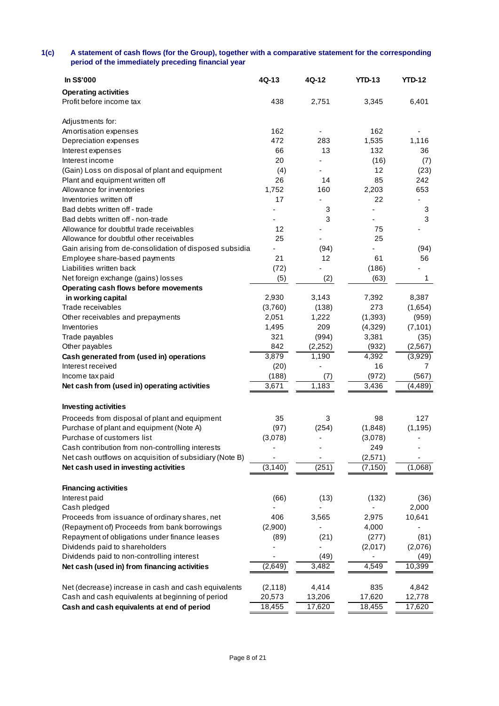### **1(c) A statement of cash flows (for the Group), together with a comparative statement for the corresponding period of the immediately preceding financial year**

| In S\$'000                                              | $4Q-13$                  | 4Q-12    | <b>YTD-13</b> | <b>YTD-12</b> |
|---------------------------------------------------------|--------------------------|----------|---------------|---------------|
| <b>Operating activities</b>                             |                          |          |               |               |
| Profit before income tax                                | 438                      | 2,751    | 3,345         | 6,401         |
|                                                         |                          |          |               |               |
| Adjustments for:                                        |                          |          |               |               |
| Amortisation expenses                                   | 162                      |          | 162           |               |
| Depreciation expenses                                   | 472                      | 283      | 1,535         | 1,116         |
| Interest expenses                                       | 66                       | 13       | 132           | 36            |
| Interest income                                         | 20                       |          | (16)          | (7)           |
| (Gain) Loss on disposal of plant and equipment          | (4)                      |          | 12            | (23)          |
| Plant and equipment written off                         | 26                       | 14       | 85            | 242           |
| Allowance for inventories                               | 1,752                    | 160      | 2,203         | 653           |
| Inventories written off                                 | 17                       |          | 22            |               |
| Bad debts written off - trade                           |                          | 3        |               | 3             |
| Bad debts written off - non-trade                       |                          | 3        |               | 3             |
| Allowance for doubtful trade receivables                | 12                       |          | 75            |               |
| Allowance for doubtful other receivables                | 25                       |          | 25            |               |
| Gain arising from de-consolidation of disposed subsidia | $\overline{\phantom{0}}$ | (94)     |               | (94)          |
| Employee share-based payments                           | 21                       | 12       | 61            | 56            |
| Liabilities written back                                | (72)                     |          | (186)         |               |
| Net foreign exchange (gains) losses                     | (5)                      | (2)      | (63)          | 1             |
| Operating cash flows before movements                   |                          |          |               |               |
| in working capital                                      | 2,930                    | 3,143    | 7,392         | 8,387         |
| Trade receivables                                       | (3,760)                  | (138)    | 273           | (1,654)       |
| Other receivables and prepayments                       | 2,051                    | 1,222    | (1, 393)      | (959)         |
| Inventories                                             | 1,495                    | 209      | (4,329)       | (7, 101)      |
| Trade payables                                          | 321                      | (994)    | 3,381         | (35)          |
| Other payables                                          | 842                      | (2, 252) | (932)         | (2, 567)      |
| Cash generated from (used in) operations                | 3,879                    | 1,190    | 4,392         | (3,929)       |
| Interest received                                       | (20)                     |          | 16            | 7             |
| Income tax paid                                         | (188)                    | (7)      | (972)         | (567)         |
| Net cash from (used in) operating activities            | 3,671                    | 1,183    | 3,436         | (4, 489)      |
|                                                         |                          |          |               |               |
| <b>Investing activities</b>                             |                          |          |               |               |
| Proceeds from disposal of plant and equipment           | 35                       | 3        | 98            | 127           |
| Purchase of plant and equipment (Note A)                | (97)                     | (254)    | (1,848)       | (1, 195)      |
| Purchase of customers list                              | (3,078)                  |          | (3,078)       |               |
| Cash contribution from non-controlling interests        |                          |          | 249           |               |
| Net cash outflows on acquisition of subsidiary (Note B) |                          |          | (2,571)       |               |
| Net cash used in investing activities                   | (3, 140)                 | (251)    | (7, 150)      | (1,068)       |
|                                                         |                          |          |               |               |
| <b>Financing activities</b>                             |                          |          |               |               |
| Interest paid                                           | (66)                     | (13)     | (132)         | (36)          |
| Cash pledged                                            |                          |          |               | 2,000         |
| Proceeds from issuance of ordinary shares, net          | 406                      | 3,565    | 2,975         | 10,641        |
| (Repayment of) Proceeds from bank borrowings            | (2,900)                  |          | 4,000         |               |
| Repayment of obligations under finance leases           | (89)                     | (21)     | (277)         | (81)          |
| Dividends paid to shareholders                          |                          |          | (2,017)       | (2,076)       |
| Dividends paid to non-controlling interest              |                          | (49)     |               | (49)          |
| Net cash (used in) from financing activities            | (2,649)                  | 3,482    | 4,549         | 10,399        |
|                                                         |                          |          |               |               |
| Net (decrease) increase in cash and cash equivalents    | (2, 118)                 | 4,414    | 835           | 4,842         |
| Cash and cash equivalents at beginning of period        | 20,573                   | 13,206   | 17,620        | 12,778        |
| Cash and cash equivalents at end of period              | 18,455                   | 17,620   | 18,455        | 17,620        |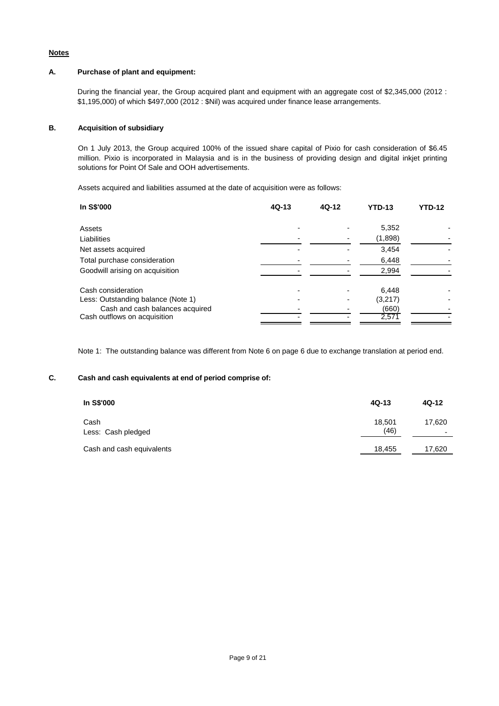### **Notes**

# **A. Purchase of plant and equipment:**

During the financial year, the Group acquired plant and equipment with an aggregate cost of \$2,345,000 (2012 : \$1,195,000) of which \$497,000 (2012 : \$Nil) was acquired under finance lease arrangements.

# **B. Acquisition of subsidiary**

On 1 July 2013, the Group acquired 100% of the issued share capital of Pixio for cash consideration of \$6.45 million. Pixio is incorporated in Malaysia and is in the business of providing design and digital inkjet printing solutions for Point Of Sale and OOH advertisements.

Assets acquired and liabilities assumed at the date of acquisition were as follows:

| In S\$'000                         | $4Q-13$ | 4Q-12 | <b>YTD-13</b> | <b>YTD-12</b> |
|------------------------------------|---------|-------|---------------|---------------|
| Assets                             |         |       | 5,352         |               |
| Liabilities                        |         |       | (1,898)       |               |
| Net assets acquired                |         |       | 3,454         |               |
| Total purchase consideration       |         |       | 6,448         |               |
| Goodwill arising on acquisition    |         |       | 2,994         |               |
| Cash consideration                 |         |       | 6,448         |               |
| Less: Outstanding balance (Note 1) |         |       | (3,217)       |               |
| Cash and cash balances acquired    |         |       | (660)         |               |
| Cash outflows on acquisition       |         |       | 2,571         |               |

Note 1: The outstanding balance was different from Note 6 on page 6 due to exchange translation at period end.

# **C. Cash and cash equivalents at end of period comprise of:**

| In S\$'000                 | $4Q-13$        | 4Q-12                              |
|----------------------------|----------------|------------------------------------|
| Cash<br>Less: Cash pledged | 18.501<br>(46) | 17.620<br>$\overline{\phantom{a}}$ |
| Cash and cash equivalents  | 18,455         | 17,620                             |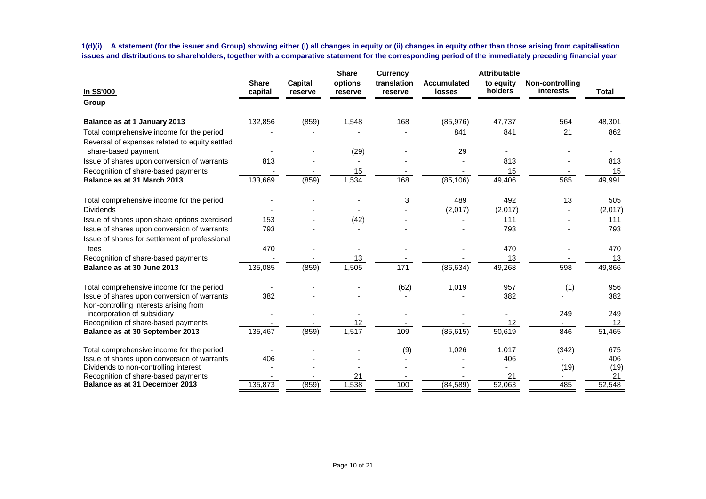**1(d)(i) A statement (for the issuer and Group) showing either (i) all changes in equity or (ii) changes in equity other than those arising from capitalisation issues and distributions to shareholders, together with a comparative statement for the corresponding period of the immediately preceding financial year**

|                                                                                       |                         |                           | <b>Share</b>       | <b>Currency</b>        |                                     | <b>Attributable</b>  |                              |              |
|---------------------------------------------------------------------------------------|-------------------------|---------------------------|--------------------|------------------------|-------------------------------------|----------------------|------------------------------|--------------|
| In S\$'000                                                                            | <b>Share</b><br>capital | <b>Capital</b><br>reserve | options<br>reserve | translation<br>reserve | <b>Accumulated</b><br><b>losses</b> | to equity<br>holders | Non-controlling<br>interests | <b>Total</b> |
| Group                                                                                 |                         |                           |                    |                        |                                     |                      |                              |              |
| Balance as at 1 January 2013                                                          | 132,856                 | (859)                     | 1,548              | 168                    | (85,976)                            | 47,737               | 564                          | 48,301       |
| Total comprehensive income for the period                                             |                         |                           |                    |                        | 841                                 | 841                  | 21                           | 862          |
| Reversal of expenses related to equity settled<br>share-based payment                 |                         |                           | (29)               |                        | 29                                  |                      |                              |              |
| Issue of shares upon conversion of warrants                                           | 813                     |                           |                    |                        |                                     | 813                  |                              | 813          |
| Recognition of share-based payments                                                   |                         |                           | 15                 |                        |                                     | 15                   |                              | 15           |
| Balance as at 31 March 2013                                                           | 133,669                 | (859)                     | 1,534              | 168                    | (85, 106)                           | 49,406               | 585                          | 49,991       |
| Total comprehensive income for the period                                             |                         |                           |                    | 3                      | 489                                 | 492                  | 13                           | 505          |
| <b>Dividends</b>                                                                      |                         |                           |                    |                        | (2,017)                             | (2,017)              |                              | (2,017)      |
| Issue of shares upon share options exercised                                          | 153                     |                           | (42)               |                        |                                     | 111                  |                              | 111          |
| Issue of shares upon conversion of warrants                                           | 793                     |                           |                    |                        |                                     | 793                  |                              | 793          |
| Issue of shares for settlement of professional                                        |                         |                           |                    |                        |                                     |                      |                              |              |
| fees                                                                                  | 470                     |                           |                    |                        |                                     | 470                  |                              | 470          |
| Recognition of share-based payments                                                   |                         |                           | 13                 |                        |                                     | 13                   |                              | 13           |
| Balance as at 30 June 2013                                                            | 135,085                 | (859)                     | 1,505              | 171                    | (86, 634)                           | 49,268               | 598                          | 49,866       |
| Total comprehensive income for the period                                             |                         |                           |                    | (62)                   | 1,019                               | 957                  | (1)                          | 956          |
| Issue of shares upon conversion of warrants<br>Non-controlling interests arising from | 382                     |                           |                    |                        |                                     | 382                  |                              | 382          |
| incorporation of subsidiary                                                           |                         |                           |                    |                        |                                     |                      | 249                          | 249          |
| Recognition of share-based payments                                                   |                         |                           | 12                 |                        |                                     | 12                   |                              | 12           |
| Balance as at 30 September 2013                                                       | 135,467                 | (859)                     | 1,517              | 109                    | (85, 615)                           | 50,619               | 846                          | 51,465       |
| Total comprehensive income for the period                                             |                         |                           |                    | (9)                    | 1,026                               | 1.017                | (342)                        | 675          |
| Issue of shares upon conversion of warrants                                           | 406                     |                           |                    |                        |                                     | 406                  |                              | 406          |
| Dividends to non-controlling interest                                                 |                         |                           |                    |                        |                                     |                      | (19)                         | (19)         |
| Recognition of share-based payments                                                   |                         |                           | 21                 |                        |                                     | 21                   |                              | 21           |
| Balance as at 31 December 2013                                                        | 135,873                 | (859)                     | 1,538              | 100                    | (84, 589)                           | 52,063               | 485                          | 52,548       |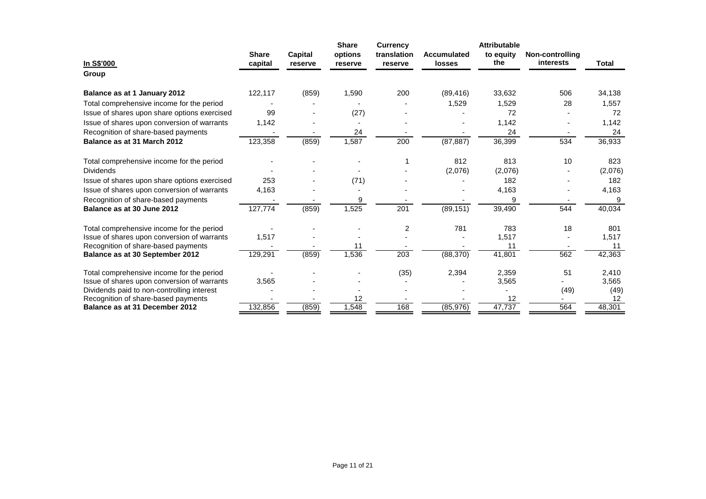|                                                                       |                         |                           | <b>Share</b>       | Currency               |                                     | <b>Attributable</b> |                              |              |
|-----------------------------------------------------------------------|-------------------------|---------------------------|--------------------|------------------------|-------------------------------------|---------------------|------------------------------|--------------|
| In S\$'000                                                            | <b>Share</b><br>capital | <b>Capital</b><br>reserve | options<br>reserve | translation<br>reserve | <b>Accumulated</b><br><b>losses</b> | to equity<br>the    | Non-controlling<br>interests | Total        |
| Group                                                                 |                         |                           |                    |                        |                                     |                     |                              |              |
| Balance as at 1 January 2012                                          | 122,117                 | (859)                     | 1,590              | 200                    | (89, 416)                           | 33,632              | 506                          | 34,138       |
| Total comprehensive income for the period                             |                         |                           |                    |                        | 1,529                               | 1,529               | 28                           | 1,557        |
| Issue of shares upon share options exercised                          | 99                      |                           | (27)               |                        |                                     | 72                  |                              | 72           |
| Issue of shares upon conversion of warrants                           | 1,142                   |                           |                    |                        |                                     | 1,142               |                              | 1,142        |
| Recognition of share-based payments                                   |                         |                           | 24                 |                        |                                     | 24                  |                              | 24           |
| Balance as at 31 March 2012                                           | 123,358                 | (859)                     | 1,587              | 200                    | (87, 887)                           | 36,399              | 534                          | 36,933       |
| Total comprehensive income for the period                             |                         |                           |                    |                        | 812                                 | 813                 | 10                           | 823          |
| <b>Dividends</b>                                                      |                         |                           |                    |                        | (2,076)                             | (2,076)             |                              | (2,076)      |
| Issue of shares upon share options exercised                          | 253                     |                           | (71)               |                        |                                     | 182                 |                              | 182          |
| Issue of shares upon conversion of warrants                           | 4,163                   |                           |                    |                        |                                     | 4,163               |                              | 4,163        |
| Recognition of share-based payments                                   |                         |                           | 9                  |                        |                                     | 9                   |                              | 9            |
| Balance as at 30 June 2012                                            | 127,774                 | (859)                     | 1,525              | 201                    | (89, 151)                           | 39,490              | 544                          | 40,034       |
| Total comprehensive income for the period                             |                         |                           |                    | $\overline{c}$         | 781                                 | 783                 | 18                           | 801          |
| Issue of shares upon conversion of warrants                           | 1,517                   |                           |                    |                        |                                     | 1,517               |                              | 1,517        |
| Recognition of share-based payments                                   |                         |                           | 11                 |                        |                                     | 11                  |                              | 11           |
| Balance as at 30 September 2012                                       | 129,291                 | (859)                     | 1,536              | 203                    | (88, 370)                           | 41,801              | 562                          | 42,363       |
| Total comprehensive income for the period                             |                         |                           |                    | (35)                   | 2,394                               | 2,359               | 51                           | 2,410        |
| Issue of shares upon conversion of warrants                           | 3,565                   |                           |                    |                        |                                     | 3,565               |                              | 3,565        |
| Dividends paid to non-controlling interest                            |                         |                           |                    |                        |                                     |                     | (49)                         | (49)         |
| Recognition of share-based payments<br>Balance as at 31 December 2012 | 132,856                 | (859)                     | 12<br>1,548        | 168                    | (85, 976)                           | 12<br>47,737        | 564                          | 12<br>48,301 |
|                                                                       |                         |                           |                    |                        |                                     |                     |                              |              |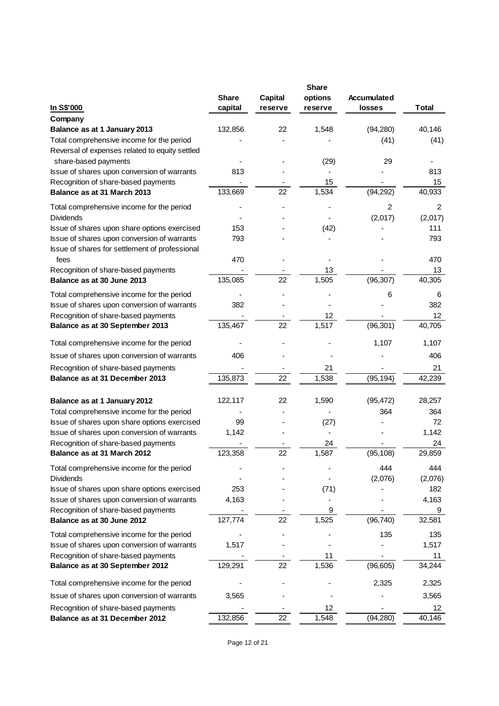|                                                |              |                | <b>Share</b> |               |              |
|------------------------------------------------|--------------|----------------|--------------|---------------|--------------|
|                                                | <b>Share</b> | <b>Capital</b> | options      | Accumulated   |              |
| In S\$'000                                     | capital      | reserve        | reserve      | <b>losses</b> | <b>Total</b> |
| Company                                        |              |                |              |               |              |
| Balance as at 1 January 2013                   | 132,856      | 22             | 1,548        | (94, 280)     | 40,146       |
| Total comprehensive income for the period      |              |                |              | (41)          | (41)         |
| Reversal of expenses related to equity settled |              |                |              |               |              |
| share-based payments                           |              |                | (29)         | 29            |              |
| Issue of shares upon conversion of warrants    | 813          |                |              |               | 813          |
| Recognition of share-based payments            |              |                | 15           |               | 15           |
| Balance as at 31 March 2013                    | 133,669      | 22             | 1,534        | (94, 292)     | 40,933       |
| Total comprehensive income for the period      |              |                |              | 2             | 2            |
| <b>Dividends</b>                               |              |                |              | (2,017)       | (2,017)      |
| Issue of shares upon share options exercised   | 153          |                | (42)         |               | 111          |
| Issue of shares upon conversion of warrants    | 793          |                |              |               | 793          |
| Issue of shares for settlement of professional |              |                |              |               |              |
| fees                                           | 470          |                |              |               | 470          |
| Recognition of share-based payments            |              |                | 13           |               | 13           |
| Balance as at 30 June 2013                     | 135,085      | 22             | 1,505        | (96, 307)     | 40,305       |
| Total comprehensive income for the period      |              |                |              | 6             | 6            |
| Issue of shares upon conversion of warrants    | 382          |                |              |               | 382          |
| Recognition of share-based payments            |              |                | 12           |               | 12           |
| Balance as at 30 September 2013                | 135,467      | 22             | 1,517        | (96, 301)     | 40,705       |
| Total comprehensive income for the period      |              |                |              | 1,107         | 1,107        |
| Issue of shares upon conversion of warrants    | 406          |                |              |               | 406          |
| Recognition of share-based payments            |              |                | 21           |               | 21           |
| Balance as at 31 December 2013                 | 135,873      | 22             | 1,538        | (95, 194)     | 42,239       |
|                                                |              |                |              |               |              |
| Balance as at 1 January 2012                   | 122,117      | 22             | 1,590        | (95, 472)     | 28,257       |
| Total comprehensive income for the period      |              |                |              | 364           | 364          |
| Issue of shares upon share options exercised   | 99           |                | (27)         |               | 72           |
| Issue of shares upon conversion of warrants    | 1,142        |                |              |               | 1,142        |
| Recognition of share-based payments            |              |                | 24           |               | 24           |
| Balance as at 31 March 2012                    | 123,358      | 22             | 1,587        | (95, 108)     | 29,859       |
| Total comprehensive income for the period      |              |                |              | 444           | 444          |
| <b>Dividends</b>                               |              |                |              | (2,076)       | (2,076)      |
| Issue of shares upon share options exercised   | 253          |                | (71)         |               | 182          |
| Issue of shares upon conversion of warrants    | 4,163        |                |              |               | 4,163        |
| Recognition of share-based payments            |              |                | 9            |               | 9            |
| Balance as at 30 June 2012                     | 127,774      | 22             | 1,525        | (96, 740)     | 32,581       |
| Total comprehensive income for the period      |              |                |              | 135           | 135          |
| Issue of shares upon conversion of warrants    | 1,517        |                |              |               | 1,517        |
| Recognition of share-based payments            |              |                | 11           |               | 11           |
| Balance as at 30 September 2012                | 129,291      | 22             | 1,536        | (96, 605)     | 34,244       |
| Total comprehensive income for the period      |              |                |              | 2,325         | 2,325        |
| Issue of shares upon conversion of warrants    | 3,565        |                |              |               | 3,565        |
| Recognition of share-based payments            |              |                | 12           |               | 12           |
| Balance as at 31 December 2012                 | 132,856      | 22             | 1,548        | (94, 280)     | 40,146       |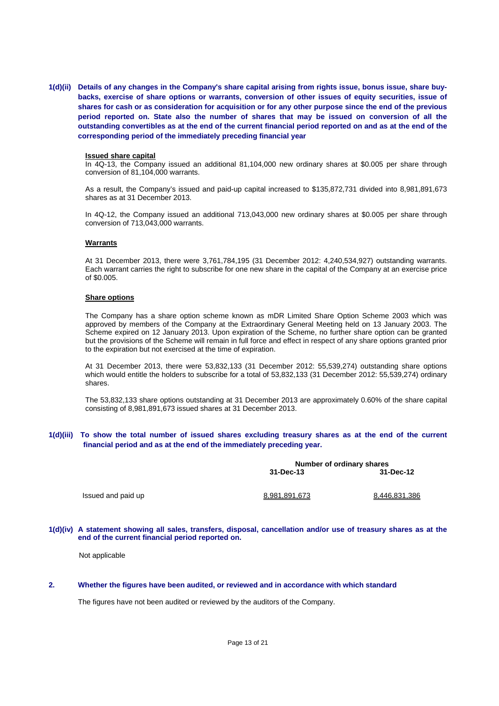**1(d)(ii) Details of any changes in the Company's share capital arising from rights issue, bonus issue, share buybacks, exercise of share options or warrants, conversion of other issues of equity securities, issue of shares for cash or as consideration for acquisition or for any other purpose since the end of the previous period reported on. State also the number of shares that may be issued on conversion of all the outstanding convertibles as at the end of the current financial period reported on and as at the end of the corresponding period of the immediately preceding financial year** 

#### **Issued share capital**

In 4Q-13, the Company issued an additional 81,104,000 new ordinary shares at \$0.005 per share through conversion of 81,104,000 warrants.

As a result, the Company's issued and paid-up capital increased to \$135,872,731 divided into 8,981,891,673 shares as at 31 December 2013.

In 4Q-12, the Company issued an additional 713,043,000 new ordinary shares at \$0.005 per share through conversion of 713,043,000 warrants.

### **Warrants**

At 31 December 2013, there were 3,761,784,195 (31 December 2012: 4,240,534,927) outstanding warrants. Each warrant carries the right to subscribe for one new share in the capital of the Company at an exercise price of \$0.005.

### **Share options**

The Company has a share option scheme known as mDR Limited Share Option Scheme 2003 which was approved by members of the Company at the Extraordinary General Meeting held on 13 January 2003. The Scheme expired on 12 January 2013. Upon expiration of the Scheme, no further share option can be granted but the provisions of the Scheme will remain in full force and effect in respect of any share options granted prior to the expiration but not exercised at the time of expiration.

At 31 December 2013, there were 53,832,133 (31 December 2012: 55,539,274) outstanding share options which would entitle the holders to subscribe for a total of 53,832,133 (31 December 2012: 55,539,274) ordinary shares.

The 53,832,133 share options outstanding at 31 December 2013 are approximately 0.60% of the share capital consisting of 8,981,891,673 issued shares at 31 December 2013.

### **1(d)(iii) To show the total number of issued shares excluding treasury shares as at the end of the current financial period and as at the end of the immediately preceding year.**

|                    |               | Number of ordinary shares |  |  |  |
|--------------------|---------------|---------------------------|--|--|--|
|                    | 31-Dec-13     | 31-Dec-12                 |  |  |  |
| Issued and paid up | 8.981.891.673 | 8.446.831.386             |  |  |  |

**1(d)(iv) A statement showing all sales, transfers, disposal, cancellation and/or use of treasury shares as at the end of the current financial period reported on.** 

Not applicable

#### **2. Whether the figures have been audited, or reviewed and in accordance with which standard**

The figures have not been audited or reviewed by the auditors of the Company.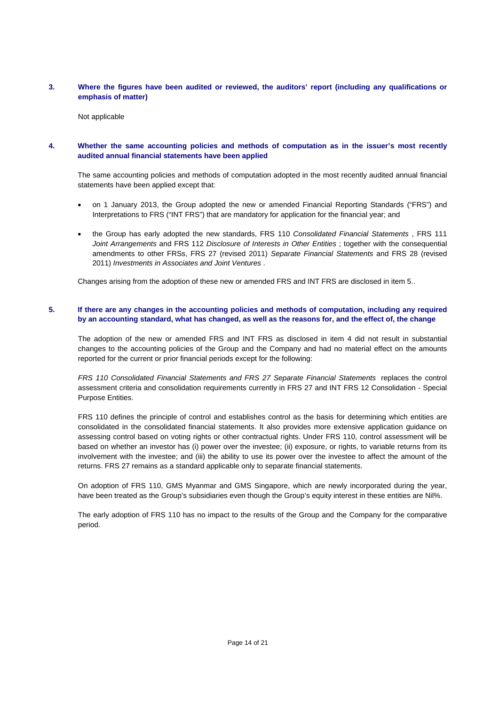# **3. Where the figures have been audited or reviewed, the auditors' report (including any qualifications or emphasis of matter)**

Not applicable

# **4. Whether the same accounting policies and methods of computation as in the issuer's most recently audited annual financial statements have been applied**

The same accounting policies and methods of computation adopted in the most recently audited annual financial statements have been applied except that:

- on 1 January 2013, the Group adopted the new or amended Financial Reporting Standards ("FRS") and Interpretations to FRS ("INT FRS") that are mandatory for application for the financial year; and
- the Group has early adopted the new standards, FRS 110 *Consolidated Financial Statements* , FRS 111 *Joint Arrangements* and FRS 112 *Disclosure of Interests in Other Entities* ; together with the consequential amendments to other FRSs, FRS 27 (revised 2011) *Separate Financial Statements* and FRS 28 (revised 2011) *Investments in Associates and Joint Ventures* .

Changes arising from the adoption of these new or amended FRS and INT FRS are disclosed in item 5..

# **5. If there are any changes in the accounting policies and methods of computation, including any required by an accounting standard, what has changed, as well as the reasons for, and the effect of, the change**

The adoption of the new or amended FRS and INT FRS as disclosed in item 4 did not result in substantial changes to the accounting policies of the Group and the Company and had no material effect on the amounts reported for the current or prior financial periods except for the following:

*FRS 110 Consolidated Financial Statements and FRS 27 Separate Financial Statements* replaces the control assessment criteria and consolidation requirements currently in FRS 27 and INT FRS 12 Consolidation - Special Purpose Entities.

FRS 110 defines the principle of control and establishes control as the basis for determining which entities are consolidated in the consolidated financial statements. It also provides more extensive application guidance on assessing control based on voting rights or other contractual rights. Under FRS 110, control assessment will be based on whether an investor has (i) power over the investee; (ii) exposure, or rights, to variable returns from its involvement with the investee; and (iii) the ability to use its power over the investee to affect the amount of the returns. FRS 27 remains as a standard applicable only to separate financial statements.

On adoption of FRS 110, GMS Myanmar and GMS Singapore, which are newly incorporated during the year, have been treated as the Group's subsidiaries even though the Group's equity interest in these entities are Nil%.

The early adoption of FRS 110 has no impact to the results of the Group and the Company for the comparative period.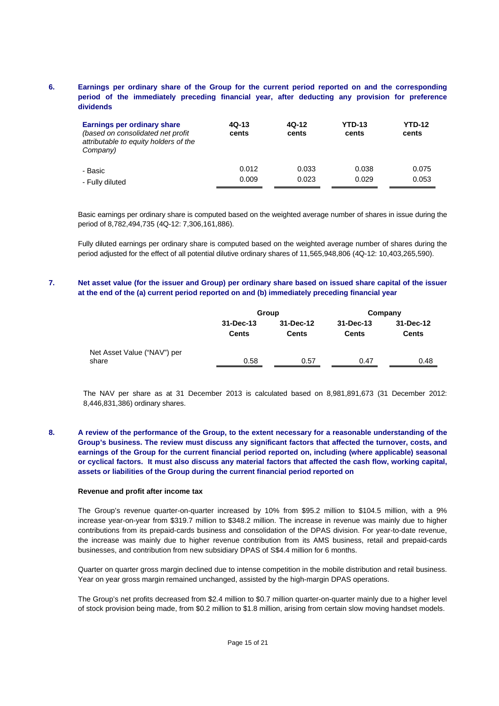# **6. Earnings per ordinary share of the Group for the current period reported on and the corresponding period of the immediately preceding financial year, after deducting any provision for preference dividends**

| Earnings per ordinary share<br>(based on consolidated net profit<br>attributable to equity holders of the<br>Company) | 4Q-13<br>cents | 4Q-12<br>cents | <b>YTD-13</b><br>cents | <b>YTD-12</b><br>cents |
|-----------------------------------------------------------------------------------------------------------------------|----------------|----------------|------------------------|------------------------|
| - Basic                                                                                                               | 0.012          | 0.033          | 0.038                  | 0.075                  |
| - Fully diluted                                                                                                       | 0.009          | 0.023          | 0.029                  | 0.053                  |

Basic earnings per ordinary share is computed based on the weighted average number of shares in issue during the period of 8,782,494,735 (4Q-12: 7,306,161,886).

Fully diluted earnings per ordinary share is computed based on the weighted average number of shares during the period adjusted for the effect of all potential dilutive ordinary shares of 11,565,948,806 (4Q-12: 10,403,265,590).

# **7. Net asset value (for the issuer and Group) per ordinary share based on issued share capital of the issuer at the end of the (a) current period reported on and (b) immediately preceding financial year**

|                                      |                           | Group                     |                           | Company                   |  |  |
|--------------------------------------|---------------------------|---------------------------|---------------------------|---------------------------|--|--|
|                                      | 31-Dec-13<br><b>Cents</b> | 31-Dec-12<br><b>Cents</b> | 31-Dec-13<br><b>Cents</b> | 31-Dec-12<br><b>Cents</b> |  |  |
| Net Asset Value ("NAV") per<br>share | 0.58                      | 0.57                      | 0.47                      | 0.48                      |  |  |

The NAV per share as at 31 December 2013 is calculated based on 8,981,891,673 (31 December 2012: 8,446,831,386) ordinary shares.

# **8. A review of the performance of the Group, to the extent necessary for a reasonable understanding of the Group's business. The review must discuss any significant factors that affected the turnover, costs, and earnings of the Group for the current financial period reported on, including (where applicable) seasonal or cyclical factors. It must also discuss any material factors that affected the cash flow, working capital, assets or liabilities of the Group during the current financial period reported on**

#### **Revenue and profit after income tax**

The Group's revenue quarter-on-quarter increased by 10% from \$95.2 million to \$104.5 million, with a 9% increase year-on-year from \$319.7 million to \$348.2 million. The increase in revenue was mainly due to higher contributions from its prepaid-cards business and consolidation of the DPAS division. For year-to-date revenue, the increase was mainly due to higher revenue contribution from its AMS business, retail and prepaid-cards businesses, and contribution from new subsidiary DPAS of S\$4.4 million for 6 months.

Quarter on quarter gross margin declined due to intense competition in the mobile distribution and retail business. Year on year gross margin remained unchanged, assisted by the high-margin DPAS operations.

The Group's net profits decreased from \$2.4 million to \$0.7 million quarter-on-quarter mainly due to a higher level of stock provision being made, from \$0.2 million to \$1.8 million, arising from certain slow moving handset models.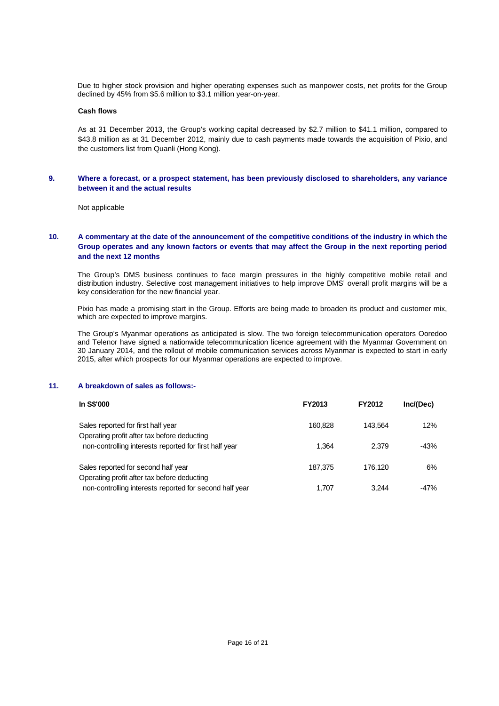Due to higher stock provision and higher operating expenses such as manpower costs, net profits for the Group declined by 45% from \$5.6 million to \$3.1 million year-on-year.

### **Cash flows**

As at 31 December 2013, the Group's working capital decreased by \$2.7 million to \$41.1 million, compared to \$43.8 million as at 31 December 2012, mainly due to cash payments made towards the acquisition of Pixio, and the customers list from Quanli (Hong Kong).

### **9. Where a forecast, or a prospect statement, has been previously disclosed to shareholders, any variance between it and the actual results**

Not applicable

# **10. A commentary at the date of the announcement of the competitive conditions of the industry in which the Group operates and any known factors or events that may affect the Group in the next reporting period and the next 12 months**

The Group's DMS business continues to face margin pressures in the highly competitive mobile retail and distribution industry. Selective cost management initiatives to help improve DMS' overall profit margins will be a key consideration for the new financial year.

Pixio has made a promising start in the Group. Efforts are being made to broaden its product and customer mix, which are expected to improve margins.

The Group's Myanmar operations as anticipated is slow. The two foreign telecommunication operators Ooredoo and Telenor have signed a nationwide telecommunication licence agreement with the Myanmar Government on 30 January 2014, and the rollout of mobile communication services across Myanmar is expected to start in early 2015, after which prospects for our Myanmar operations are expected to improve.

#### **11. A breakdown of sales as follows:-**

| In S\$'000                                                                         | <b>FY2013</b> | <b>FY2012</b> | Inc/(Dec) |
|------------------------------------------------------------------------------------|---------------|---------------|-----------|
| Sales reported for first half year<br>Operating profit after tax before deducting  | 160.828       | 143.564       | 12%       |
| non-controlling interests reported for first half year                             | 1.364         | 2.379         | -43%      |
| Sales reported for second half year<br>Operating profit after tax before deducting | 187.375       | 176.120       | 6%        |
| non-controlling interests reported for second half year                            | 1.707         | 3.244         | -47%      |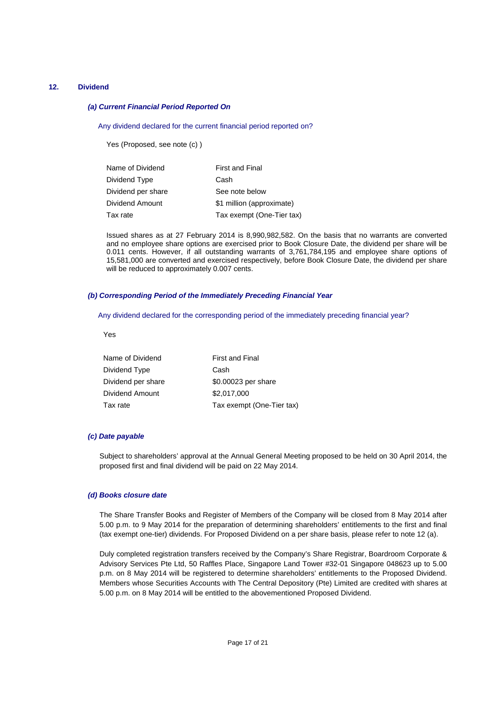### **12. Dividend**

#### *(a) Current Financial Period Reported On*

Any dividend declared for the current financial period reported on?

Yes (Proposed, see note (c) )

| Name of Dividend   | <b>First and Final</b>    |
|--------------------|---------------------------|
| Dividend Type      | Cash                      |
| Dividend per share | See note below            |
| Dividend Amount    | \$1 million (approximate) |
| Tax rate           | Tax exempt (One-Tier tax) |

Issued shares as at 27 February 2014 is 8,990,982,582. On the basis that no warrants are converted and no employee share options are exercised prior to Book Closure Date, the dividend per share will be 0.011 cents. However, if all outstanding warrants of 3,761,784,195 and employee share options of 15,581,000 are converted and exercised respectively, before Book Closure Date, the dividend per share will be reduced to approximately 0.007 cents.

#### *(b) Corresponding Period of the Immediately Preceding Financial Year*

Any dividend declared for the corresponding period of the immediately preceding financial year?

Yes

| Name of Dividend   | <b>First and Final</b>    |
|--------------------|---------------------------|
| Dividend Type      | Cash                      |
| Dividend per share | \$0.00023 per share       |
| Dividend Amount    | \$2,017,000               |
| Tax rate           | Tax exempt (One-Tier tax) |

### *(c) Date payable*

Subject to shareholders' approval at the Annual General Meeting proposed to be held on 30 April 2014, the proposed first and final dividend will be paid on 22 May 2014.

#### *(d) Books closure date*

The Share Transfer Books and Register of Members of the Company will be closed from 8 May 2014 after 5.00 p.m. to 9 May 2014 for the preparation of determining shareholders' entitlements to the first and final (tax exempt one-tier) dividends. For Proposed Dividend on a per share basis, please refer to note 12 (a).

Duly completed registration transfers received by the Company's Share Registrar, Boardroom Corporate & Advisory Services Pte Ltd, 50 Raffles Place, Singapore Land Tower #32-01 Singapore 048623 up to 5.00 p.m. on 8 May 2014 will be registered to determine shareholders' entitlements to the Proposed Dividend. Members whose Securities Accounts with The Central Depository (Pte) Limited are credited with shares at 5.00 p.m. on 8 May 2014 will be entitled to the abovementioned Proposed Dividend.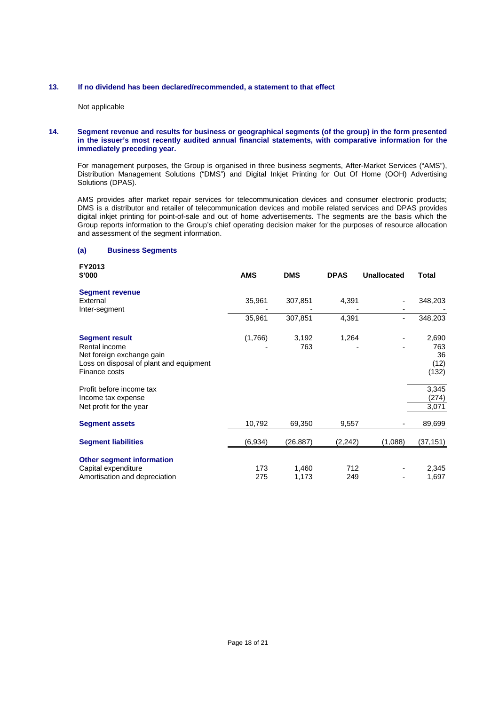## **13. If no dividend has been declared/recommended, a statement to that effect**

Not applicable

### **14. Segment revenue and results for business or geographical segments (of the group) in the form presented in the issuer's most recently audited annual financial statements, with comparative information for the immediately preceding year.**

For management purposes, the Group is organised in three business segments, After-Market Services ("AMS"), Distribution Management Solutions ("DMS") and Digital Inkjet Printing for Out Of Home (OOH) Advertising Solutions (DPAS).

 AMS provides after market repair services for telecommunication devices and consumer electronic products; DMS is a distributor and retailer of telecommunication devices and mobile related services and DPAS provides digital inkjet printing for point-of-sale and out of home advertisements. The segments are the basis which the Group reports information to the Group's chief operating decision maker for the purposes of resource allocation and assessment of the segment information.

### **(a) Business Segments**

**FY2013** 

| 1 1 Z U I J<br>\$'000                                                                                                           | <b>AMS</b> | <b>DMS</b>     | <b>DPAS</b> | <b>Unallocated</b> | Total                               |
|---------------------------------------------------------------------------------------------------------------------------------|------------|----------------|-------------|--------------------|-------------------------------------|
| <b>Segment revenue</b><br>External<br>Inter-segment                                                                             | 35,961     | 307,851        | 4,391       |                    | 348,203                             |
|                                                                                                                                 | 35,961     | 307,851        | 4,391       |                    | 348,203                             |
| <b>Segment result</b><br>Rental income<br>Net foreign exchange gain<br>Loss on disposal of plant and equipment<br>Finance costs | (1,766)    | 3,192<br>763   | 1,264       |                    | 2,690<br>763<br>36<br>(12)<br>(132) |
| Profit before income tax<br>Income tax expense<br>Net profit for the year                                                       |            |                |             |                    | 3,345<br>(274)<br>3,071             |
| <b>Segment assets</b>                                                                                                           | 10,792     | 69,350         | 9,557       |                    | 89,699                              |
| <b>Segment liabilities</b>                                                                                                      | (6,934)    | (26, 887)      | (2, 242)    | (1,088)            | (37, 151)                           |
| <b>Other segment information</b><br>Capital expenditure<br>Amortisation and depreciation                                        | 173<br>275 | 1,460<br>1,173 | 712<br>249  |                    | 2,345<br>1,697                      |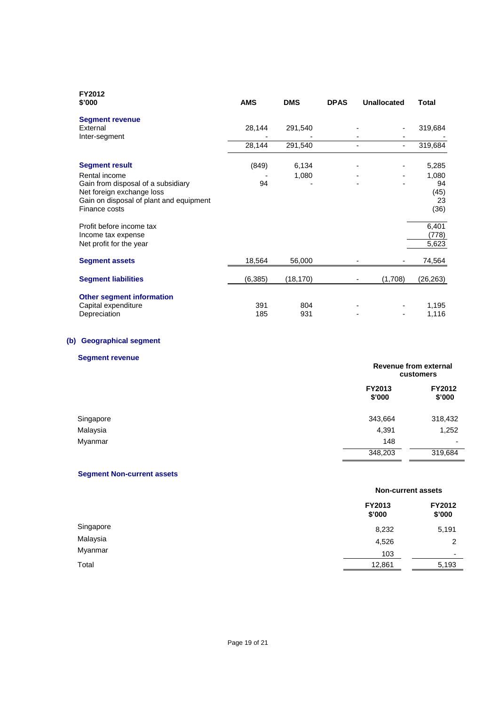| <b>FY2012</b><br>\$'000                                                                                                                      | <b>AMS</b> | <b>DMS</b> | <b>DPAS</b> | <b>Unallocated</b> | Total                             |
|----------------------------------------------------------------------------------------------------------------------------------------------|------------|------------|-------------|--------------------|-----------------------------------|
| <b>Segment revenue</b><br>External                                                                                                           | 28,144     | 291,540    |             |                    | 319,684                           |
| Inter-segment                                                                                                                                | 28,144     | 291,540    |             |                    | 319,684                           |
| <b>Segment result</b>                                                                                                                        | (849)      | 6,134      |             |                    | 5,285                             |
| Rental income<br>Gain from disposal of a subsidiary<br>Net foreign exchange loss<br>Gain on disposal of plant and equipment<br>Finance costs | 94         | 1,080      |             |                    | 1,080<br>94<br>(45)<br>23<br>(36) |
| Profit before income tax<br>Income tax expense<br>Net profit for the year                                                                    |            |            |             |                    | 6,401<br>(778)<br>5,623           |
| <b>Segment assets</b>                                                                                                                        | 18,564     | 56,000     |             |                    | 74,564                            |
| <b>Segment liabilities</b>                                                                                                                   | (6, 385)   | (18, 170)  |             | (1,708)            | (26, 263)                         |
| <b>Other segment information</b><br>Capital expenditure<br>Depreciation                                                                      | 391<br>185 | 804<br>931 |             |                    | 1,195<br>1,116                    |

# **(b) Geographical segment**

# **Segment revenue**

| <b>OCYMICIAL ICACITAC</b> |                         | Revenue from external<br>customers |  |
|---------------------------|-------------------------|------------------------------------|--|
|                           | <b>FY2013</b><br>\$'000 | <b>FY2012</b><br>\$'000            |  |
| Singapore                 | 343,664                 | 318,432                            |  |
| Malaysia                  | 4,391                   | 1,252                              |  |
| Myanmar                   | 148                     | $\overline{\phantom{0}}$           |  |
|                           | 348,203                 | 319,684                            |  |

# **Segment Non-current assets**

|           |                  | <b>Non-current assets</b> |  |
|-----------|------------------|---------------------------|--|
|           | FY2013<br>\$'000 | <b>FY2012</b><br>\$'000   |  |
| Singapore | 8,232            | 5,191                     |  |
| Malaysia  | 4,526            | 2                         |  |
| Myanmar   | 103              | $\overline{\phantom{0}}$  |  |
| Total     | 12,861           | 5,193                     |  |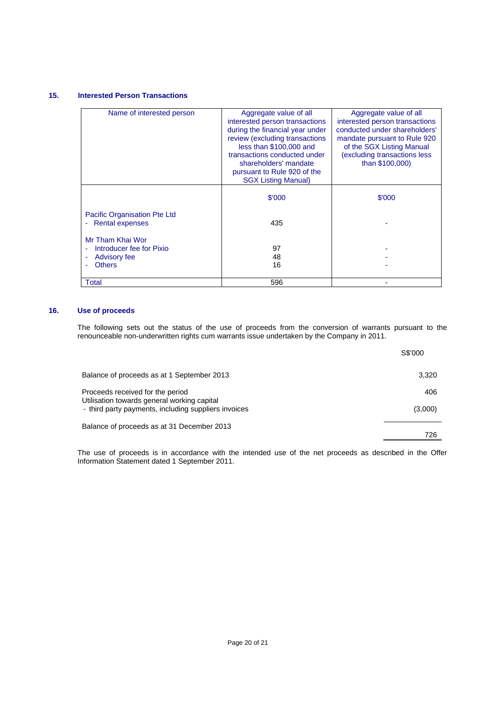# **15. Interested Person Transactions**

| Name of interested person                                                            | Aggregate value of all<br>interested person transactions<br>during the financial year under<br>review (excluding transactions<br>less than \$100,000 and<br>transactions conducted under<br>shareholders' mandate<br>pursuant to Rule 920 of the<br><b>SGX Listing Manual)</b> | Aggregate value of all<br>interested person transactions<br>conducted under shareholders'<br>mandate pursuant to Rule 920<br>of the SGX Listing Manual<br>(excluding transactions less<br>than \$100,000) |  |
|--------------------------------------------------------------------------------------|--------------------------------------------------------------------------------------------------------------------------------------------------------------------------------------------------------------------------------------------------------------------------------|-----------------------------------------------------------------------------------------------------------------------------------------------------------------------------------------------------------|--|
|                                                                                      | \$'000                                                                                                                                                                                                                                                                         | \$'000                                                                                                                                                                                                    |  |
| Pacific Organisation Pte Ltd<br><b>Rental expenses</b>                               | 435                                                                                                                                                                                                                                                                            |                                                                                                                                                                                                           |  |
| Mr Tham Khai Wor<br>Introducer fee for Pixio<br><b>Advisory fee</b><br><b>Others</b> | 97<br>48<br>16                                                                                                                                                                                                                                                                 |                                                                                                                                                                                                           |  |
| Total                                                                                | 596                                                                                                                                                                                                                                                                            |                                                                                                                                                                                                           |  |

# **16. Use of proceeds**

 The following sets out the status of the use of proceeds from the conversion of warrants pursuant to the renounceable non-underwritten rights cum warrants issue undertaken by the Company in 2011.

|                                                                                                                                         | S\$'000        |
|-----------------------------------------------------------------------------------------------------------------------------------------|----------------|
| Balance of proceeds as at 1 September 2013                                                                                              | 3.320          |
| Proceeds received for the period<br>Utilisation towards general working capital<br>- third party payments, including suppliers invoices | 406<br>(3,000) |
| Balance of proceeds as at 31 December 2013                                                                                              | 726            |

The use of proceeds is in accordance with the intended use of the net proceeds as described in the Offer Information Statement dated 1 September 2011.